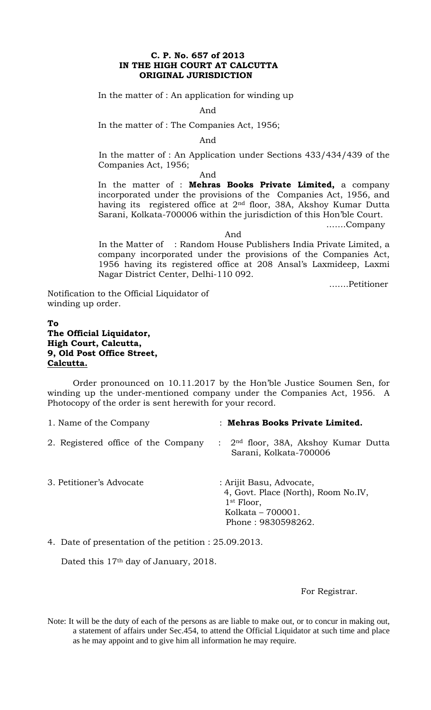## **C. P. No. 657 of 2013 IN THE HIGH COURT AT CALCUTTA ORIGINAL JURISDICTION**

In the matter of : An application for winding up

And

In the matter of : The Companies Act, 1956;

And

In the matter of : An Application under Sections 433/434/439 of the Companies Act, 1956;

And

In the matter of : **Mehras Books Private Limited,** a company incorporated under the provisions of the Companies Act, 1956, and having its registered office at 2nd floor, 38A, Akshoy Kumar Dutta Sarani, Kolkata-700006 within the jurisdiction of this Hon'ble Court.

…….Company

And

In the Matter of : Random House Publishers India Private Limited, a company incorporated under the provisions of the Companies Act, 1956 having its registered office at 208 Ansal's Laxmideep, Laxmi Nagar District Center, Delhi-110 092.

…….Petitioner

Notification to the Official Liquidator of winding up order.

## **To The Official Liquidator, High Court, Calcutta, 9, Old Post Office Street, Calcutta.**

Order pronounced on 10.11.2017 by the Hon'ble Justice Soumen Sen, for winding up the under-mentioned company under the Companies Act, 1956. A Photocopy of the order is sent herewith for your record.

| 1. Name of the Company              | : Mehras Books Private Limited.                                  |
|-------------------------------------|------------------------------------------------------------------|
| 2. Registered office of the Company | : $2nd$ floor, 38A, Akshoy Kumar Dutta<br>Sarani, Kolkata-700006 |
| 3. Petitioner's Advocate            | : Arijit Basu, Advocate,<br>4, Govt. Place (North), Room No.IV,  |

 1st Floor, Kolkata – 700001. Phone : 9830598262.

4. Date of presentation of the petition : 25.09.2013.

Dated this 17<sup>th</sup> day of January, 2018.

For Registrar.

Note: It will be the duty of each of the persons as are liable to make out, or to concur in making out, a statement of affairs under Sec.454, to attend the Official Liquidator at such time and place as he may appoint and to give him all information he may require.